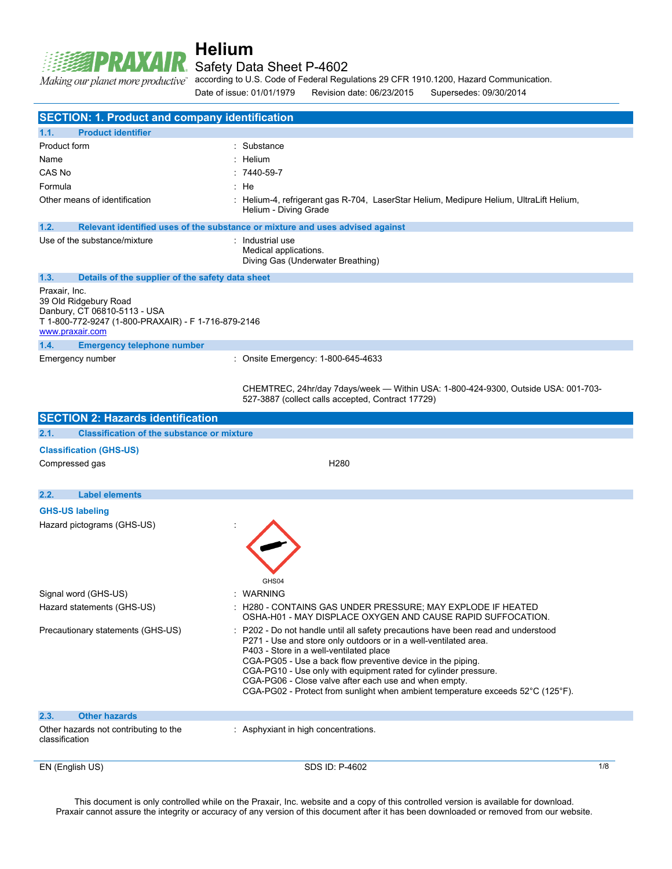Safety Data Sheet P-4602

Making our planet more productive"

**RAXAIR** 

according to U.S. Code of Federal Regulations 29 CFR 1910.1200, Hazard Communication.

Date of issue: 01/01/1979 Revision date: 06/23/2015 Supersedes: 09/30/2014

| <b>SECTION: 1. Product and company identification</b>                                                                                            |                                                                                                                                                                                                                                                                                                                                                                                                                                                                              |     |
|--------------------------------------------------------------------------------------------------------------------------------------------------|------------------------------------------------------------------------------------------------------------------------------------------------------------------------------------------------------------------------------------------------------------------------------------------------------------------------------------------------------------------------------------------------------------------------------------------------------------------------------|-----|
| 1.1.<br><b>Product identifier</b>                                                                                                                |                                                                                                                                                                                                                                                                                                                                                                                                                                                                              |     |
| Product form                                                                                                                                     | Substance                                                                                                                                                                                                                                                                                                                                                                                                                                                                    |     |
| Name                                                                                                                                             | Helium                                                                                                                                                                                                                                                                                                                                                                                                                                                                       |     |
| CAS No                                                                                                                                           | 7440-59-7                                                                                                                                                                                                                                                                                                                                                                                                                                                                    |     |
| Formula                                                                                                                                          | : He                                                                                                                                                                                                                                                                                                                                                                                                                                                                         |     |
| Other means of identification                                                                                                                    | Helium-4, refrigerant gas R-704, LaserStar Helium, Medipure Helium, UltraLift Helium,<br>Helium - Diving Grade                                                                                                                                                                                                                                                                                                                                                               |     |
| 1.2.                                                                                                                                             | Relevant identified uses of the substance or mixture and uses advised against                                                                                                                                                                                                                                                                                                                                                                                                |     |
| Use of the substance/mixture                                                                                                                     | : Industrial use<br>Medical applications.<br>Diving Gas (Underwater Breathing)                                                                                                                                                                                                                                                                                                                                                                                               |     |
| 1.3.<br>Details of the supplier of the safety data sheet                                                                                         |                                                                                                                                                                                                                                                                                                                                                                                                                                                                              |     |
| Praxair, Inc.<br>39 Old Ridgebury Road<br>Danbury, CT 06810-5113 - USA<br>T 1-800-772-9247 (1-800-PRAXAIR) - F 1-716-879-2146<br>www.praxair.com |                                                                                                                                                                                                                                                                                                                                                                                                                                                                              |     |
| 1.4.<br><b>Emergency telephone number</b>                                                                                                        |                                                                                                                                                                                                                                                                                                                                                                                                                                                                              |     |
| Emergency number                                                                                                                                 | : Onsite Emergency: 1-800-645-4633                                                                                                                                                                                                                                                                                                                                                                                                                                           |     |
|                                                                                                                                                  | CHEMTREC, 24hr/day 7days/week - Within USA: 1-800-424-9300, Outside USA: 001-703-<br>527-3887 (collect calls accepted, Contract 17729)                                                                                                                                                                                                                                                                                                                                       |     |
| <b>SECTION 2: Hazards identification</b>                                                                                                         |                                                                                                                                                                                                                                                                                                                                                                                                                                                                              |     |
| 2.1.<br><b>Classification of the substance or mixture</b>                                                                                        |                                                                                                                                                                                                                                                                                                                                                                                                                                                                              |     |
| <b>Classification (GHS-US)</b>                                                                                                                   |                                                                                                                                                                                                                                                                                                                                                                                                                                                                              |     |
| Compressed gas                                                                                                                                   | H <sub>280</sub>                                                                                                                                                                                                                                                                                                                                                                                                                                                             |     |
| 2.2.<br><b>Label elements</b>                                                                                                                    |                                                                                                                                                                                                                                                                                                                                                                                                                                                                              |     |
| <b>GHS-US labeling</b>                                                                                                                           |                                                                                                                                                                                                                                                                                                                                                                                                                                                                              |     |
| Hazard pictograms (GHS-US)                                                                                                                       |                                                                                                                                                                                                                                                                                                                                                                                                                                                                              |     |
|                                                                                                                                                  | GHS04                                                                                                                                                                                                                                                                                                                                                                                                                                                                        |     |
| Signal word (GHS-US)                                                                                                                             | : WARNING                                                                                                                                                                                                                                                                                                                                                                                                                                                                    |     |
| Hazard statements (GHS-US)                                                                                                                       | : H280 - CONTAINS GAS UNDER PRESSURE; MAY EXPLODE IF HEATED<br>OSHA-H01 - MAY DISPLACE OXYGEN AND CAUSE RAPID SUFFOCATION.                                                                                                                                                                                                                                                                                                                                                   |     |
| Precautionary statements (GHS-US)                                                                                                                | P202 - Do not handle until all safety precautions have been read and understood<br>P271 - Use and store only outdoors or in a well-ventilated area.<br>P403 - Store in a well-ventilated place<br>CGA-PG05 - Use a back flow preventive device in the piping.<br>CGA-PG10 - Use only with equipment rated for cylinder pressure.<br>CGA-PG06 - Close valve after each use and when empty.<br>CGA-PG02 - Protect from sunlight when ambient temperature exceeds 52°C (125°F). |     |
| 2.3.<br><b>Other hazards</b>                                                                                                                     |                                                                                                                                                                                                                                                                                                                                                                                                                                                                              |     |
| Other hazards not contributing to the<br>classification                                                                                          | : Asphyxiant in high concentrations.                                                                                                                                                                                                                                                                                                                                                                                                                                         |     |
| EN (English US)                                                                                                                                  | SDS ID: P-4602                                                                                                                                                                                                                                                                                                                                                                                                                                                               | 1/8 |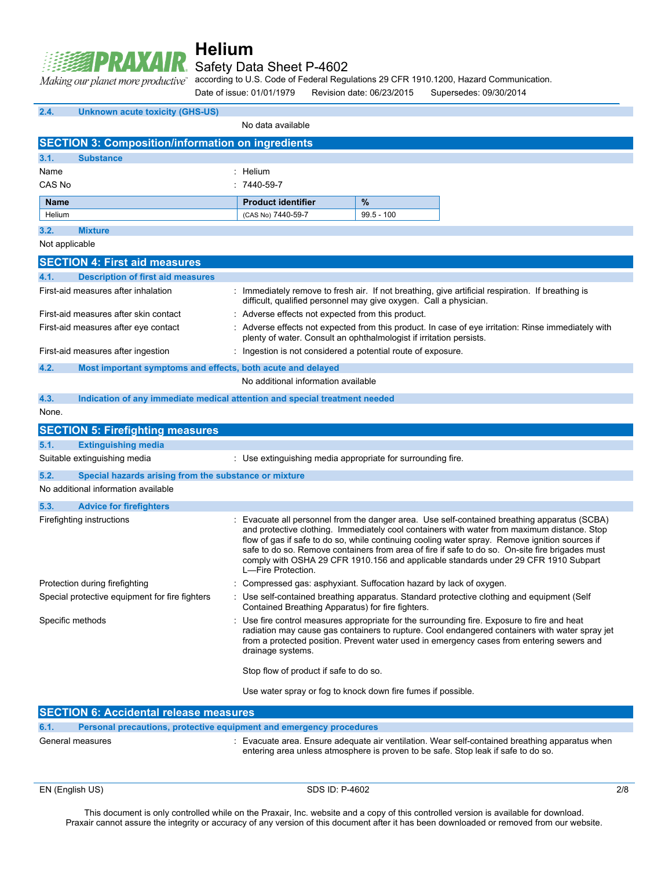

## Safety Data Sheet P-4602

according to U.S. Code of Federal Regulations 29 CFR 1910.1200, Hazard Communication. Making our planet more productive"

Date of issue: 01/01/1979 Revision date: 06/23/2015 Supersedes: 09/30/2014

| 2.4.             | <b>Unknown acute toxicity (GHS-US)</b>                                     |                                                                     |              |                                                                                                                                                                                                                                                                                                                                                                                                                                                                                         |
|------------------|----------------------------------------------------------------------------|---------------------------------------------------------------------|--------------|-----------------------------------------------------------------------------------------------------------------------------------------------------------------------------------------------------------------------------------------------------------------------------------------------------------------------------------------------------------------------------------------------------------------------------------------------------------------------------------------|
|                  |                                                                            | No data available                                                   |              |                                                                                                                                                                                                                                                                                                                                                                                                                                                                                         |
|                  | <b>SECTION 3: Composition/information on ingredients</b>                   |                                                                     |              |                                                                                                                                                                                                                                                                                                                                                                                                                                                                                         |
| 3.1.             | <b>Substance</b>                                                           |                                                                     |              |                                                                                                                                                                                                                                                                                                                                                                                                                                                                                         |
| Name             |                                                                            | : Helium                                                            |              |                                                                                                                                                                                                                                                                                                                                                                                                                                                                                         |
| CAS No           |                                                                            | $: 7440 - 59 - 7$                                                   |              |                                                                                                                                                                                                                                                                                                                                                                                                                                                                                         |
| <b>Name</b>      |                                                                            | <b>Product identifier</b>                                           | %            |                                                                                                                                                                                                                                                                                                                                                                                                                                                                                         |
| Helium           |                                                                            | (CAS No) 7440-59-7                                                  | $99.5 - 100$ |                                                                                                                                                                                                                                                                                                                                                                                                                                                                                         |
| 3.2.             | <b>Mixture</b>                                                             |                                                                     |              |                                                                                                                                                                                                                                                                                                                                                                                                                                                                                         |
| Not applicable   |                                                                            |                                                                     |              |                                                                                                                                                                                                                                                                                                                                                                                                                                                                                         |
|                  | <b>SECTION 4: First aid measures</b>                                       |                                                                     |              |                                                                                                                                                                                                                                                                                                                                                                                                                                                                                         |
| 4.1.             | <b>Description of first aid measures</b>                                   |                                                                     |              |                                                                                                                                                                                                                                                                                                                                                                                                                                                                                         |
|                  | First-aid measures after inhalation                                        | difficult, qualified personnel may give oxygen. Call a physician.   |              | : Immediately remove to fresh air. If not breathing, give artificial respiration. If breathing is                                                                                                                                                                                                                                                                                                                                                                                       |
|                  | First-aid measures after skin contact                                      | Adverse effects not expected from this product.                     |              |                                                                                                                                                                                                                                                                                                                                                                                                                                                                                         |
|                  | First-aid measures after eye contact                                       | plenty of water. Consult an ophthalmologist if irritation persists. |              | : Adverse effects not expected from this product. In case of eye irritation: Rinse immediately with                                                                                                                                                                                                                                                                                                                                                                                     |
|                  | First-aid measures after ingestion                                         | : Ingestion is not considered a potential route of exposure.        |              |                                                                                                                                                                                                                                                                                                                                                                                                                                                                                         |
| 4.2.             | Most important symptoms and effects, both acute and delayed                |                                                                     |              |                                                                                                                                                                                                                                                                                                                                                                                                                                                                                         |
|                  |                                                                            | No additional information available                                 |              |                                                                                                                                                                                                                                                                                                                                                                                                                                                                                         |
| 4.3.             | Indication of any immediate medical attention and special treatment needed |                                                                     |              |                                                                                                                                                                                                                                                                                                                                                                                                                                                                                         |
| None.            |                                                                            |                                                                     |              |                                                                                                                                                                                                                                                                                                                                                                                                                                                                                         |
|                  | <b>SECTION 5: Firefighting measures</b>                                    |                                                                     |              |                                                                                                                                                                                                                                                                                                                                                                                                                                                                                         |
| 5.1.             | <b>Extinguishing media</b>                                                 |                                                                     |              |                                                                                                                                                                                                                                                                                                                                                                                                                                                                                         |
|                  | Suitable extinguishing media                                               | : Use extinguishing media appropriate for surrounding fire.         |              |                                                                                                                                                                                                                                                                                                                                                                                                                                                                                         |
| 5.2.             | Special hazards arising from the substance or mixture                      |                                                                     |              |                                                                                                                                                                                                                                                                                                                                                                                                                                                                                         |
|                  | No additional information available                                        |                                                                     |              |                                                                                                                                                                                                                                                                                                                                                                                                                                                                                         |
| 5.3.             | <b>Advice for firefighters</b>                                             |                                                                     |              |                                                                                                                                                                                                                                                                                                                                                                                                                                                                                         |
|                  | Firefighting instructions                                                  | L-Fire Protection.                                                  |              | : Evacuate all personnel from the danger area. Use self-contained breathing apparatus (SCBA)<br>and protective clothing. Immediately cool containers with water from maximum distance. Stop<br>flow of gas if safe to do so, while continuing cooling water spray. Remove ignition sources if<br>safe to do so. Remove containers from area of fire if safe to do so. On-site fire brigades must<br>comply with OSHA 29 CFR 1910.156 and applicable standards under 29 CFR 1910 Subpart |
|                  | Protection during firefighting                                             | Compressed gas: asphyxiant. Suffocation hazard by lack of oxygen.   |              |                                                                                                                                                                                                                                                                                                                                                                                                                                                                                         |
|                  | Special protective equipment for fire fighters                             | Contained Breathing Apparatus) for fire fighters.                   |              | : Use self-contained breathing apparatus. Standard protective clothing and equipment (Self                                                                                                                                                                                                                                                                                                                                                                                              |
| Specific methods |                                                                            | drainage systems.                                                   |              | : Use fire control measures appropriate for the surrounding fire. Exposure to fire and heat<br>radiation may cause gas containers to rupture. Cool endangered containers with water spray jet<br>from a protected position. Prevent water used in emergency cases from entering sewers and                                                                                                                                                                                              |
|                  |                                                                            | Stop flow of product if safe to do so.                              |              |                                                                                                                                                                                                                                                                                                                                                                                                                                                                                         |
|                  |                                                                            | Use water spray or fog to knock down fire fumes if possible.        |              |                                                                                                                                                                                                                                                                                                                                                                                                                                                                                         |
|                  | <b>SECTION 6: Accidental release measures</b>                              |                                                                     |              |                                                                                                                                                                                                                                                                                                                                                                                                                                                                                         |

| 6.1. | Personal precautions, protective equipment and emergency procedures |  |  |
|------|---------------------------------------------------------------------|--|--|
|      |                                                                     |  |  |

| General measures | : Evacuate area. Ensure adequate air ventilation. Wear self-contained breathing apparatus when |
|------------------|------------------------------------------------------------------------------------------------|
|                  | entering area unless atmosphere is proven to be safe. Stop leak if safe to do so.              |

EN (English US) 2/8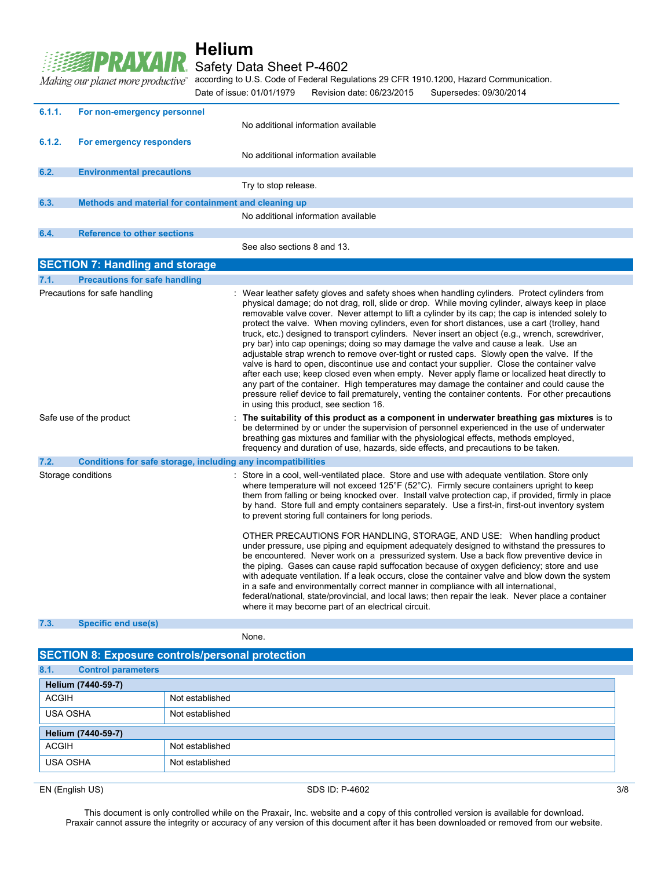#### **RAXAIR** Safety Data Sheet P-4602

according to U.S. Code of Federal Regulations 29 CFR 1910.1200, Hazard Communication.

Making our planet more productive" Date of issue: 01/01/1979 Revision date: 06/23/2015 Supersedes: 09/30/2014

| 6.1.1. | For non-emergency personnel                                  | No additional information available                                                                                                                                                                                                                                                                                                                                                                                                                                                                                                                                                                                                                                                                                                                                                                                                                                                                                                                                                                                                                                                                                                      |
|--------|--------------------------------------------------------------|------------------------------------------------------------------------------------------------------------------------------------------------------------------------------------------------------------------------------------------------------------------------------------------------------------------------------------------------------------------------------------------------------------------------------------------------------------------------------------------------------------------------------------------------------------------------------------------------------------------------------------------------------------------------------------------------------------------------------------------------------------------------------------------------------------------------------------------------------------------------------------------------------------------------------------------------------------------------------------------------------------------------------------------------------------------------------------------------------------------------------------------|
|        |                                                              |                                                                                                                                                                                                                                                                                                                                                                                                                                                                                                                                                                                                                                                                                                                                                                                                                                                                                                                                                                                                                                                                                                                                          |
| 6.1.2. | For emergency responders                                     |                                                                                                                                                                                                                                                                                                                                                                                                                                                                                                                                                                                                                                                                                                                                                                                                                                                                                                                                                                                                                                                                                                                                          |
|        |                                                              | No additional information available                                                                                                                                                                                                                                                                                                                                                                                                                                                                                                                                                                                                                                                                                                                                                                                                                                                                                                                                                                                                                                                                                                      |
| 6.2.   | <b>Environmental precautions</b>                             |                                                                                                                                                                                                                                                                                                                                                                                                                                                                                                                                                                                                                                                                                                                                                                                                                                                                                                                                                                                                                                                                                                                                          |
|        |                                                              | Try to stop release.                                                                                                                                                                                                                                                                                                                                                                                                                                                                                                                                                                                                                                                                                                                                                                                                                                                                                                                                                                                                                                                                                                                     |
| 6.3.   | Methods and material for containment and cleaning up         |                                                                                                                                                                                                                                                                                                                                                                                                                                                                                                                                                                                                                                                                                                                                                                                                                                                                                                                                                                                                                                                                                                                                          |
|        |                                                              | No additional information available                                                                                                                                                                                                                                                                                                                                                                                                                                                                                                                                                                                                                                                                                                                                                                                                                                                                                                                                                                                                                                                                                                      |
| 6.4.   | <b>Reference to other sections</b>                           |                                                                                                                                                                                                                                                                                                                                                                                                                                                                                                                                                                                                                                                                                                                                                                                                                                                                                                                                                                                                                                                                                                                                          |
|        |                                                              | See also sections 8 and 13.                                                                                                                                                                                                                                                                                                                                                                                                                                                                                                                                                                                                                                                                                                                                                                                                                                                                                                                                                                                                                                                                                                              |
|        | <b>SECTION 7: Handling and storage</b>                       |                                                                                                                                                                                                                                                                                                                                                                                                                                                                                                                                                                                                                                                                                                                                                                                                                                                                                                                                                                                                                                                                                                                                          |
| 7.1.   | <b>Precautions for safe handling</b>                         |                                                                                                                                                                                                                                                                                                                                                                                                                                                                                                                                                                                                                                                                                                                                                                                                                                                                                                                                                                                                                                                                                                                                          |
|        | Precautions for safe handling                                | : Wear leather safety gloves and safety shoes when handling cylinders. Protect cylinders from<br>physical damage; do not drag, roll, slide or drop. While moving cylinder, always keep in place<br>removable valve cover. Never attempt to lift a cylinder by its cap; the cap is intended solely to<br>protect the valve. When moving cylinders, even for short distances, use a cart (trolley, hand<br>truck, etc.) designed to transport cylinders. Never insert an object (e.g., wrench, screwdriver,<br>pry bar) into cap openings; doing so may damage the valve and cause a leak. Use an<br>adjustable strap wrench to remove over-tight or rusted caps. Slowly open the valve. If the<br>valve is hard to open, discontinue use and contact your supplier. Close the container valve<br>after each use; keep closed even when empty. Never apply flame or localized heat directly to<br>any part of the container. High temperatures may damage the container and could cause the<br>pressure relief device to fail prematurely, venting the container contents. For other precautions<br>in using this product, see section 16. |
|        | Safe use of the product                                      | The suitability of this product as a component in underwater breathing gas mixtures is to<br>be determined by or under the supervision of personnel experienced in the use of underwater<br>breathing gas mixtures and familiar with the physiological effects, methods employed,<br>frequency and duration of use, hazards, side effects, and precautions to be taken.                                                                                                                                                                                                                                                                                                                                                                                                                                                                                                                                                                                                                                                                                                                                                                  |
| 7.2.   | Conditions for safe storage, including any incompatibilities |                                                                                                                                                                                                                                                                                                                                                                                                                                                                                                                                                                                                                                                                                                                                                                                                                                                                                                                                                                                                                                                                                                                                          |
|        | Storage conditions                                           | : Store in a cool, well-ventilated place. Store and use with adequate ventilation. Store only<br>where temperature will not exceed 125°F (52°C). Firmly secure containers upright to keep<br>them from falling or being knocked over. Install valve protection cap, if provided, firmly in place<br>by hand. Store full and empty containers separately. Use a first-in, first-out inventory system<br>to prevent storing full containers for long periods.                                                                                                                                                                                                                                                                                                                                                                                                                                                                                                                                                                                                                                                                              |
| 7.3.   | Specific end use(s)                                          | OTHER PRECAUTIONS FOR HANDLING, STORAGE, AND USE: When handling product<br>under pressure, use piping and equipment adequately designed to withstand the pressures to<br>be encountered. Never work on a pressurized system. Use a back flow preventive device in<br>the piping. Gases can cause rapid suffocation because of oxygen deficiency; store and use<br>with adequate ventilation. If a leak occurs, close the container valve and blow down the system<br>in a safe and environmentally correct manner in compliance with all international,<br>federal/national, state/provincial, and local laws; then repair the leak. Never place a container<br>where it may become part of an electrical circuit.                                                                                                                                                                                                                                                                                                                                                                                                                       |
|        |                                                              |                                                                                                                                                                                                                                                                                                                                                                                                                                                                                                                                                                                                                                                                                                                                                                                                                                                                                                                                                                                                                                                                                                                                          |

None.

| <b>SECTION 8: Exposure controls/personal protection</b> |                 |  |  |  |
|---------------------------------------------------------|-----------------|--|--|--|
| 8.1.<br><b>Control parameters</b>                       |                 |  |  |  |
| Helium (7440-59-7)                                      |                 |  |  |  |
| <b>ACGIH</b>                                            | Not established |  |  |  |
| <b>USA OSHA</b>                                         | Not established |  |  |  |
| Helium (7440-59-7)                                      |                 |  |  |  |
| <b>ACGIH</b>                                            | Not established |  |  |  |
| <b>USA OSHA</b>                                         | Not established |  |  |  |
|                                                         |                 |  |  |  |

EN (English US) 3/8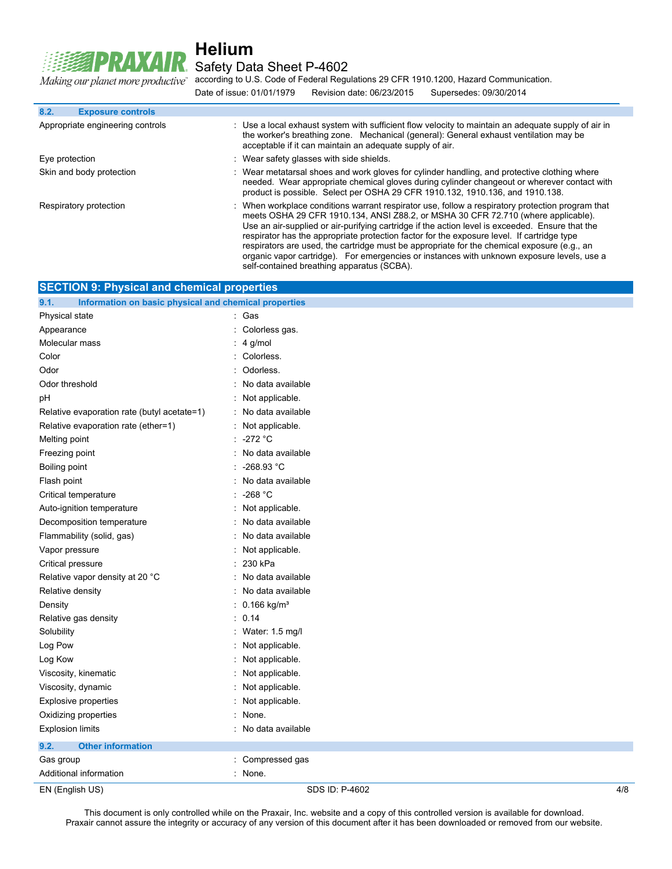Making our planet more productive"

R.

## **Helium** Safety Data Sheet P-4602

according to U.S. Code of Federal Regulations 29 CFR 1910.1200, Hazard Communication. Date of issue: 01/01/1979 Revision date: 06/23/2015 Supersedes: 09/30/2014

| 8.2.<br><b>Exposure controls</b> |                                                                                                                                                                                                                                                                                                                                                                                                                                                                                                                                                                                   |
|----------------------------------|-----------------------------------------------------------------------------------------------------------------------------------------------------------------------------------------------------------------------------------------------------------------------------------------------------------------------------------------------------------------------------------------------------------------------------------------------------------------------------------------------------------------------------------------------------------------------------------|
| Appropriate engineering controls | : Use a local exhaust system with sufficient flow velocity to maintain an adequate supply of air in<br>the worker's breathing zone. Mechanical (general): General exhaust ventilation may be<br>acceptable if it can maintain an adequate supply of air.                                                                                                                                                                                                                                                                                                                          |
| Eye protection                   | : Wear safety glasses with side shields.                                                                                                                                                                                                                                                                                                                                                                                                                                                                                                                                          |
| Skin and body protection         | : Wear metatarsal shoes and work gloves for cylinder handling, and protective clothing where<br>needed. Wear appropriate chemical gloves during cylinder changeout or wherever contact with<br>product is possible. Select per OSHA 29 CFR 1910.132, 1910.136, and 1910.138.                                                                                                                                                                                                                                                                                                      |
| Respiratory protection           | When workplace conditions warrant respirator use, follow a respiratory protection program that<br>meets OSHA 29 CFR 1910.134, ANSI Z88.2, or MSHA 30 CFR 72.710 (where applicable).<br>Use an air-supplied or air-purifying cartridge if the action level is exceeded. Ensure that the<br>respirator has the appropriate protection factor for the exposure level. If cartridge type<br>respirators are used, the cartridge must be appropriate for the chemical exposure (e.g., an<br>organic vapor cartridge). For emergencies or instances with unknown exposure levels, use a |

self-contained breathing apparatus (SCBA).

| <b>SECTION 9: Physical and chemical properties</b>            |                           |
|---------------------------------------------------------------|---------------------------|
| Information on basic physical and chemical properties<br>9.1. |                           |
| Physical state                                                | : Gas                     |
| Appearance                                                    | Colorless gas.            |
| Molecular mass                                                | 4 g/mol                   |
| Color                                                         | Colorless.                |
| Odor                                                          | Odorless.                 |
| Odor threshold                                                | No data available         |
| рH                                                            | Not applicable.           |
| Relative evaporation rate (butyl acetate=1)                   | No data available         |
| Relative evaporation rate (ether=1)                           | Not applicable.           |
| Melting point                                                 | -272 °C                   |
| Freezing point                                                | No data available         |
| Boiling point                                                 | $-268.93 °C$              |
| Flash point                                                   | No data available         |
| Critical temperature                                          | $-268 °C$                 |
| Auto-ignition temperature                                     | Not applicable.           |
| Decomposition temperature                                     | No data available         |
| Flammability (solid, gas)                                     | No data available         |
| Vapor pressure                                                | Not applicable.           |
| Critical pressure                                             | 230 kPa                   |
| Relative vapor density at 20 °C                               | No data available         |
| Relative density                                              | No data available         |
| Density                                                       | $0.166$ kg/m <sup>3</sup> |
| Relative gas density                                          | 0.14                      |
| Solubility                                                    | Water: 1.5 mg/l           |
| Log Pow                                                       | Not applicable.           |
| Log Kow                                                       | Not applicable.           |
| Viscosity, kinematic                                          | Not applicable.           |
| Viscosity, dynamic                                            | Not applicable.           |
| Explosive properties                                          | Not applicable.           |
| Oxidizing properties                                          | None.                     |
| <b>Explosion limits</b>                                       | No data available         |
| <b>Other information</b><br>9.2.                              |                           |
| Gas group                                                     | Compressed gas            |
| Additional information                                        | None.                     |
| EN (English US)                                               | 4/8<br>SDS ID: P-4602     |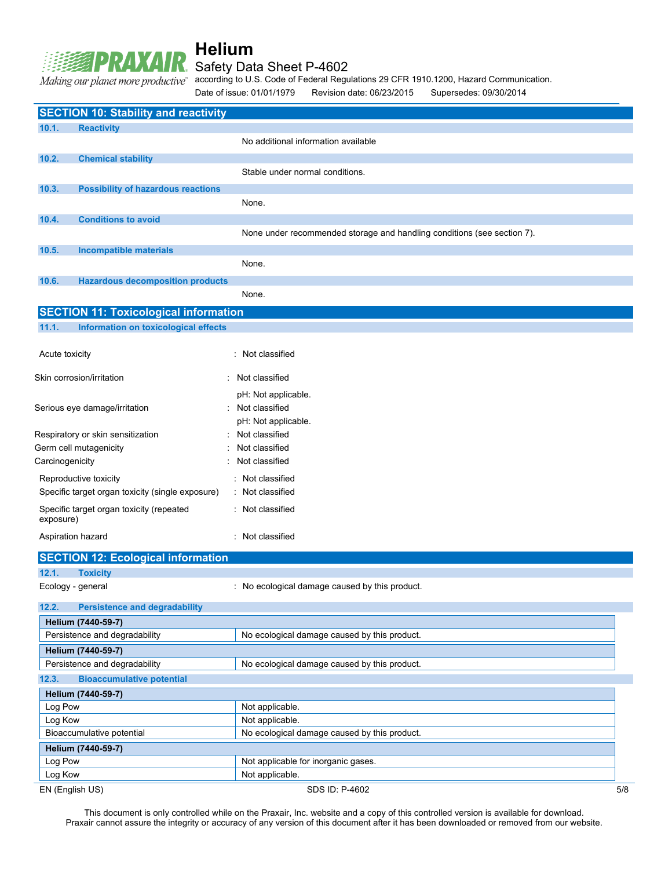### Safety Data Sheet P-4602

Making our planet more productive"

according to U.S. Code of Federal Regulations 29 CFR 1910.1200, Hazard Communication.

Date of issue: 01/01/1979 Revision date: 06/23/2015 Supersedes: 09/30/2014

|                                                          | <b>SECTION 10: Stability and reactivity</b>      |                                                                         |     |
|----------------------------------------------------------|--------------------------------------------------|-------------------------------------------------------------------------|-----|
| 10.1.                                                    | <b>Reactivity</b>                                |                                                                         |     |
|                                                          |                                                  | No additional information available                                     |     |
| 10.2.                                                    | <b>Chemical stability</b>                        |                                                                         |     |
|                                                          |                                                  | Stable under normal conditions.                                         |     |
|                                                          |                                                  |                                                                         |     |
| 10.3.                                                    | <b>Possibility of hazardous reactions</b>        |                                                                         |     |
|                                                          |                                                  | None.                                                                   |     |
| 10.4.                                                    | <b>Conditions to avoid</b>                       |                                                                         |     |
|                                                          |                                                  | None under recommended storage and handling conditions (see section 7). |     |
| 10.5.                                                    | <b>Incompatible materials</b>                    |                                                                         |     |
|                                                          |                                                  | None.                                                                   |     |
| 10.6.                                                    | <b>Hazardous decomposition products</b>          |                                                                         |     |
|                                                          |                                                  | None.                                                                   |     |
|                                                          | <b>SECTION 11: Toxicological information</b>     |                                                                         |     |
| 11.1.                                                    | Information on toxicological effects             |                                                                         |     |
|                                                          |                                                  |                                                                         |     |
| Acute toxicity                                           |                                                  | : Not classified                                                        |     |
|                                                          |                                                  |                                                                         |     |
|                                                          | Skin corrosion/irritation                        | Not classified                                                          |     |
|                                                          |                                                  | pH: Not applicable.                                                     |     |
|                                                          | Serious eye damage/irritation                    | Not classified                                                          |     |
|                                                          |                                                  | pH: Not applicable.                                                     |     |
|                                                          | Respiratory or skin sensitization                | Not classified                                                          |     |
|                                                          | Germ cell mutagenicity                           | Not classified                                                          |     |
| Carcinogenicity                                          |                                                  | Not classified                                                          |     |
|                                                          | Reproductive toxicity                            | : Not classified                                                        |     |
|                                                          | Specific target organ toxicity (single exposure) | : Not classified                                                        |     |
|                                                          | Specific target organ toxicity (repeated         | : Not classified                                                        |     |
| exposure)                                                |                                                  |                                                                         |     |
|                                                          | Aspiration hazard                                | : Not classified                                                        |     |
|                                                          |                                                  |                                                                         |     |
|                                                          | <b>SECTION 12: Ecological information</b>        |                                                                         |     |
| 12.1.                                                    | <b>Toxicity</b>                                  |                                                                         |     |
|                                                          | Ecology - general                                | : No ecological damage caused by this product.                          |     |
| 12.2.                                                    | <b>Persistence and degradability</b>             |                                                                         |     |
|                                                          | Helium (7440-59-7)                               |                                                                         |     |
|                                                          | Persistence and degradability                    | No ecological damage caused by this product.                            |     |
|                                                          | Helium (7440-59-7)                               |                                                                         |     |
|                                                          | Persistence and degradability                    | No ecological damage caused by this product.                            |     |
| 12.3.                                                    | <b>Bioaccumulative potential</b>                 |                                                                         |     |
|                                                          |                                                  |                                                                         |     |
|                                                          | Helium (7440-59-7)                               |                                                                         |     |
| Log Pow<br>Not applicable.<br>Log Kow<br>Not applicable. |                                                  |                                                                         |     |
|                                                          | Bioaccumulative potential                        | No ecological damage caused by this product.                            |     |
|                                                          |                                                  |                                                                         |     |
| Log Pow                                                  | Helium (7440-59-7)                               | Not applicable for inorganic gases.                                     |     |
| Log Kow                                                  |                                                  | Not applicable.                                                         |     |
|                                                          | EN (English US)                                  | SDS ID: P-4602                                                          | 5/8 |
|                                                          |                                                  |                                                                         |     |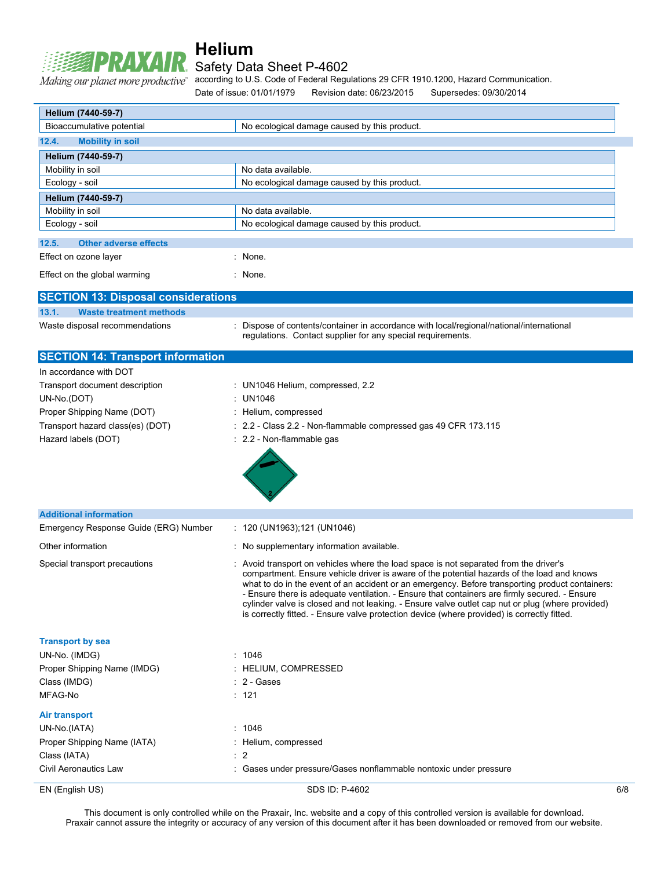# **RAXAIR** Safety Data Sheet P-4602 Making our planet more productive"

# **Helium**

according to U.S. Code of Federal Regulations 29 CFR 1910.1200, Hazard Communication.

Date of issue: 01/01/1979 Revision date: 06/23/2015 Supersedes: 09/30/2014

| Helium (7440-59-7)                                      |                                                                                                                                                                                                                                                                                                                                                                                                                                                                                                                                                                                          |     |
|---------------------------------------------------------|------------------------------------------------------------------------------------------------------------------------------------------------------------------------------------------------------------------------------------------------------------------------------------------------------------------------------------------------------------------------------------------------------------------------------------------------------------------------------------------------------------------------------------------------------------------------------------------|-----|
| Bioaccumulative potential                               | No ecological damage caused by this product.                                                                                                                                                                                                                                                                                                                                                                                                                                                                                                                                             |     |
| 12.4.<br><b>Mobility in soil</b>                        |                                                                                                                                                                                                                                                                                                                                                                                                                                                                                                                                                                                          |     |
| Helium (7440-59-7)                                      |                                                                                                                                                                                                                                                                                                                                                                                                                                                                                                                                                                                          |     |
| Mobility in soil<br>Ecology - soil                      | No data available.<br>No ecological damage caused by this product.                                                                                                                                                                                                                                                                                                                                                                                                                                                                                                                       |     |
|                                                         |                                                                                                                                                                                                                                                                                                                                                                                                                                                                                                                                                                                          |     |
| Helium (7440-59-7)                                      | No data available.                                                                                                                                                                                                                                                                                                                                                                                                                                                                                                                                                                       |     |
| Mobility in soil<br>Ecology - soil                      | No ecological damage caused by this product.                                                                                                                                                                                                                                                                                                                                                                                                                                                                                                                                             |     |
|                                                         |                                                                                                                                                                                                                                                                                                                                                                                                                                                                                                                                                                                          |     |
| <b>Other adverse effects</b><br>12.5.                   |                                                                                                                                                                                                                                                                                                                                                                                                                                                                                                                                                                                          |     |
| Effect on ozone layer                                   | : None.                                                                                                                                                                                                                                                                                                                                                                                                                                                                                                                                                                                  |     |
| Effect on the global warming                            | : None.                                                                                                                                                                                                                                                                                                                                                                                                                                                                                                                                                                                  |     |
| <b>SECTION 13: Disposal considerations</b>              |                                                                                                                                                                                                                                                                                                                                                                                                                                                                                                                                                                                          |     |
| 13.1.<br><b>Waste treatment methods</b>                 |                                                                                                                                                                                                                                                                                                                                                                                                                                                                                                                                                                                          |     |
| Waste disposal recommendations                          | : Dispose of contents/container in accordance with local/regional/national/international<br>regulations. Contact supplier for any special requirements.                                                                                                                                                                                                                                                                                                                                                                                                                                  |     |
| <b>SECTION 14: Transport information</b>                |                                                                                                                                                                                                                                                                                                                                                                                                                                                                                                                                                                                          |     |
| In accordance with DOT                                  |                                                                                                                                                                                                                                                                                                                                                                                                                                                                                                                                                                                          |     |
| Transport document description                          | : UN1046 Helium, compressed, 2.2                                                                                                                                                                                                                                                                                                                                                                                                                                                                                                                                                         |     |
| UN-No.(DOT)                                             | : UN1046                                                                                                                                                                                                                                                                                                                                                                                                                                                                                                                                                                                 |     |
| Proper Shipping Name (DOT)                              | : Helium, compressed                                                                                                                                                                                                                                                                                                                                                                                                                                                                                                                                                                     |     |
| Transport hazard class(es) (DOT)<br>Hazard labels (DOT) | : 2.2 - Class 2.2 - Non-flammable compressed gas 49 CFR 173.115<br>: 2.2 - Non-flammable gas                                                                                                                                                                                                                                                                                                                                                                                                                                                                                             |     |
|                                                         |                                                                                                                                                                                                                                                                                                                                                                                                                                                                                                                                                                                          |     |
| <b>Additional information</b>                           |                                                                                                                                                                                                                                                                                                                                                                                                                                                                                                                                                                                          |     |
| Emergency Response Guide (ERG) Number                   | : 120 (UN1963);121 (UN1046)                                                                                                                                                                                                                                                                                                                                                                                                                                                                                                                                                              |     |
| Other information                                       | : No supplementary information available.                                                                                                                                                                                                                                                                                                                                                                                                                                                                                                                                                |     |
| Special transport precautions                           | Avoid transport on vehicles where the load space is not separated from the driver's<br>compartment. Ensure vehicle driver is aware of the potential hazards of the load and knows<br>what to do in the event of an accident or an emergency. Before transporting product containers:<br>- Ensure there is adequate ventilation. - Ensure that containers are firmly secured. - Ensure<br>cylinder valve is closed and not leaking. - Ensure valve outlet cap nut or plug (where provided)<br>is correctly fitted. - Ensure valve protection device (where provided) is correctly fitted. |     |
| <b>Transport by sea</b>                                 |                                                                                                                                                                                                                                                                                                                                                                                                                                                                                                                                                                                          |     |
| UN-No. (IMDG)                                           | : 1046                                                                                                                                                                                                                                                                                                                                                                                                                                                                                                                                                                                   |     |
| Proper Shipping Name (IMDG)                             | : HELIUM, COMPRESSED                                                                                                                                                                                                                                                                                                                                                                                                                                                                                                                                                                     |     |
| Class (IMDG)                                            | : 2 - Gases                                                                                                                                                                                                                                                                                                                                                                                                                                                                                                                                                                              |     |
| MFAG-No                                                 | : 121                                                                                                                                                                                                                                                                                                                                                                                                                                                                                                                                                                                    |     |
| <b>Air transport</b>                                    |                                                                                                                                                                                                                                                                                                                                                                                                                                                                                                                                                                                          |     |
| UN-No.(IATA)                                            | : 1046                                                                                                                                                                                                                                                                                                                                                                                                                                                                                                                                                                                   |     |
| Proper Shipping Name (IATA)                             | : Helium, compressed                                                                                                                                                                                                                                                                                                                                                                                                                                                                                                                                                                     |     |
| Class (IATA)                                            | : 2                                                                                                                                                                                                                                                                                                                                                                                                                                                                                                                                                                                      |     |
| Civil Aeronautics Law                                   | : Gases under pressure/Gases nonflammable nontoxic under pressure                                                                                                                                                                                                                                                                                                                                                                                                                                                                                                                        |     |
| EN (English US)                                         | SDS ID: P-4602                                                                                                                                                                                                                                                                                                                                                                                                                                                                                                                                                                           | 6/8 |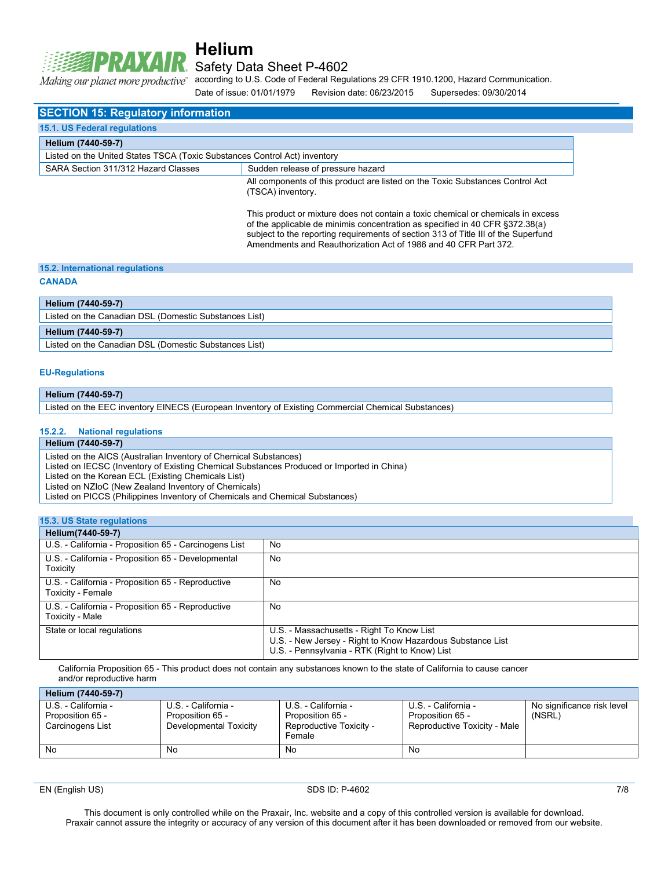

Safety Data Sheet P-4602

"Making our planet more productive

according to U.S. Code of Federal Regulations 29 CFR 1910.1200, Hazard Communication. Date of issue: 01/01/1979 Revision date: 06/23/2015 Supersedes: 09/30/2014

**SECTION 15: Regulatory information 15.1. US Federal regulations Helium (7440-59-7)** Listed on the United States TSCA (Toxic Substances Control Act) inventory SARA Section 311/312 Hazard Classes Sudden release of pressure hazard All components of this product are listed on the Toxic Substances Control Act (TSCA) inventory. This product or mixture does not contain a toxic chemical or chemicals in excess of the applicable de minimis concentration as specified in 40 CFR §372.38(a) subject to the reporting requirements of section 313 of Title III of the Superfund Amendments and Reauthorization Act of 1986 and 40 CFR Part 372.

#### **15.2. International regulations**

#### **CANADA**

#### **Helium (7440-59-7)**

Listed on the Canadian DSL (Domestic Substances List)

#### **Helium (7440-59-7)**

Listed on the Canadian DSL (Domestic Substances List)

#### **EU-Regulations**

#### **Helium (7440-59-7)**

Listed on the EEC inventory EINECS (European Inventory of Existing Commercial Chemical Substances)

#### **15.2.2. National regulations**

#### **Helium (7440-59-7)**

Listed on the AICS (Australian Inventory of Chemical Substances)

Listed on IECSC (Inventory of Existing Chemical Substances Produced or Imported in China)

Listed on the Korean ECL (Existing Chemicals List)

Listed on NZIoC (New Zealand Inventory of Chemicals)

Listed on PICCS (Philippines Inventory of Chemicals and Chemical Substances)

**15.3. US State regulations Helium(7440-59-7)** U.S. - California - Proposition 65 - Carcinogens List | No U.S. - California - Proposition 65 - Developmental **Toxicity** No U.S. - California - Proposition 65 - Reproductive Toxicity - Female No U.S. - California - Proposition 65 - Reproductive Toxicity - Male No State or local regulations U.S. - Massachusetts - Right To Know List U.S. - New Jersey - Right to Know Hazardous Substance List U.S. - Pennsylvania - RTK (Right to Know) List

California Proposition 65 - This product does not contain any substances known to the state of California to cause cancer and/or reproductive harm

| Helium (7440-59-7)                                          |                                                                   |                                                                              |                                                                         |                                      |
|-------------------------------------------------------------|-------------------------------------------------------------------|------------------------------------------------------------------------------|-------------------------------------------------------------------------|--------------------------------------|
| U.S. - California -<br>Proposition 65 -<br>Carcinogens List | U.S. - California -<br>Proposition 65 -<br>Developmental Toxicity | U.S. - California -<br>Proposition 65 -<br>Reproductive Toxicity -<br>Female | U.S. - California -<br>Proposition 65 -<br>Reproductive Toxicity - Male | No significance risk level<br>(NSRL) |
| No                                                          | No                                                                | No                                                                           | No                                                                      |                                      |